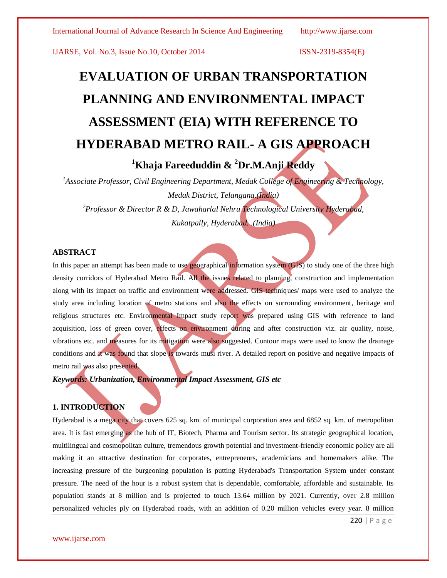# **EVALUATION OF URBAN TRANSPORTATION PLANNING AND ENVIRONMENTAL IMPACT ASSESSMENT (EIA) WITH REFERENCE TO HYDERABAD METRO RAIL- A GIS APPROACH**

**<sup>1</sup>Khaja Fareeduddin & <sup>2</sup>Dr.M.Anji Reddy**

*1 Associate Professor, Civil Engineering Department, Medak College of Engineering & Technology, Medak District, Telangana.(India) <sup>2</sup>Professor & Director R & D, Jawaharlal Nehru Technological University Hyderabad,* 

*Kukatpally, Hyderabad. .(India)*

# **ABSTRACT**

In this paper an attempt has been made to use geographical information system (GIS) to study one of the three high density corridors of Hyderabad Metro Rail. All the issues related to planning, construction and implementation along with its impact on traffic and environment were addressed. GIS techniques/ maps were used to analyze the study area including location of metro stations and also the effects on surrounding environment, heritage and religious structures etc. Environmental Impact study report was prepared using GIS with reference to land acquisition, loss of green cover, effects on environment during and after construction viz. air quality, noise, vibrations etc. and measures for its mitigation were also suggested. Contour maps were used to know the drainage conditions and it was found that slope is towards musi river. A detailed report on positive and negative impacts of metro rail was also presented.

*Keywords: Urbanization, Environmental Impact Assessment, GIS etc* 

# **1. INTRODUCTION**

Hyderabad is a mega city that covers 625 sq. km. of municipal corporation area and 6852 sq. km. of metropolitan area. It is fast emerging as the hub of IT, Biotech, Pharma and Tourism sector. Its strategic geographical location, multilingual and cosmopolitan culture, tremendous growth potential and investment-friendly economic policy are all making it an attractive destination for corporates, entrepreneurs, academicians and homemakers alike. The increasing pressure of the burgeoning population is putting Hyderabad's Transportation System under constant pressure. The need of the hour is a robust system that is dependable, comfortable, affordable and sustainable. Its population stands at 8 million and is projected to touch 13.64 million by 2021. Currently, over 2.8 million personalized vehicles ply on Hyderabad roads, with an addition of 0.20 million vehicles every year. 8 million

220 | P a g e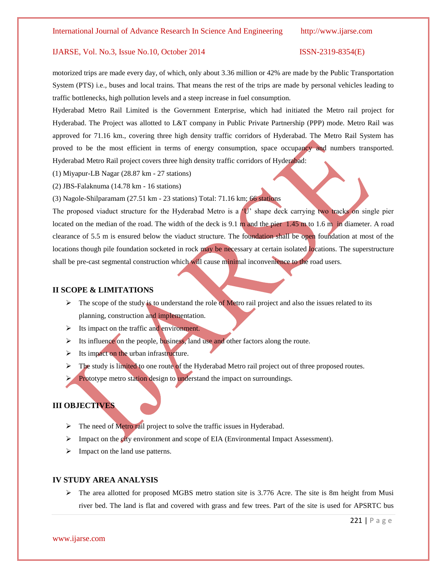motorized trips are made every day, of which, only about 3.36 million or 42% are made by the Public Transportation System (PTS) i.e., buses and local trains. That means the rest of the trips are made by personal vehicles leading to traffic bottlenecks, high pollution levels and a steep increase in fuel consumption.

Hyderabad Metro Rail Limited is the Government Enterprise, which had initiated the Metro rail project for Hyderabad. The Project was allotted to L&T company in Public Private Partnership (PPP) mode. Metro Rail was approved for 71.16 km., covering three high density traffic corridors of Hyderabad. The Metro Rail System has proved to be the most efficient in terms of energy consumption, space occupancy and numbers transported. Hyderabad Metro Rail project covers three high density traffic corridors of Hyderabad:

- (1) Miyapur-LB Nagar (28.87 km 27 stations)
- (2) JBS-Falaknuma (14.78 km 16 stations)

(3) Nagole-Shilparamam (27.51 km - 23 stations) Total: 71.16 km; 66 stations

The proposed viaduct structure for the Hyderabad Metro is a  $\dot{U}$  shape deck carrying two tracks on single pier located on the median of the road. The width of the deck is 9.1 m and the pier 1.45 m to 1.6 m in diameter. A road clearance of 5.5 m is ensured below the viaduct structure. The foundation shall be open foundation at most of the locations though pile foundation socketed in rock may be necessary at certain isolated locations. The superstructure shall be pre-cast segmental construction which will cause minimal inconvenience to the road users.

# **II SCOPE & LIMITATIONS**

- $\triangleright$  The scope of the study is to understand the role of Metro rail project and also the issues related to its planning, construction and implementation.
- $\triangleright$  Its impact on the traffic and environment.
- $\triangleright$  Its influence on the people, business, land use and other factors along the route.
- $\triangleright$  Its impact on the urban infrastructure.
- $\triangleright$  The study is limited to one route of the Hyderabad Metro rail project out of three proposed routes.
- **Prototype metro station design to understand the impact on surroundings.**

# **III OBJECTIVES**

- $\triangleright$  The need of Metro rail project to solve the traffic issues in Hyderabad.
- $\triangleright$  Impact on the city environment and scope of EIA (Environmental Impact Assessment).
- $\triangleright$  Impact on the land use patterns.

### **IV STUDY AREA ANALYSIS**

 $\triangleright$  The area allotted for proposed MGBS metro station site is 3.776 Acre. The site is 8m height from Musi river bed. The land is flat and covered with grass and few trees. Part of the site is used for APSRTC bus

www.ijarse.com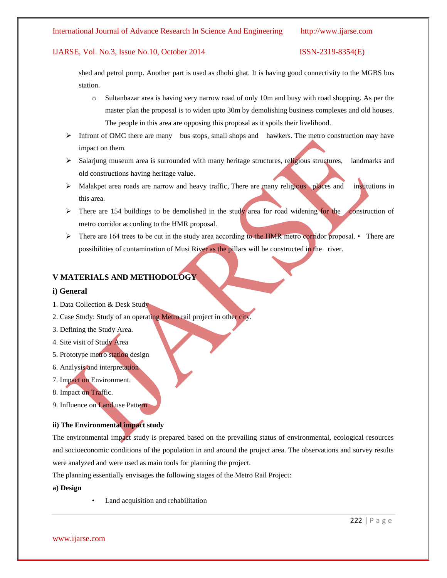# IJARSE, Vol. No.3, Issue No.10, October 2014 ISSN-2319-8354(E)

shed and petrol pump. Another part is used as dhobi ghat. It is having good connectivity to the MGBS bus station.

- o Sultanbazar area is having very narrow road of only 10m and busy with road shopping. As per the master plan the proposal is to widen upto 30m by demolishing business complexes and old houses. The people in this area are opposing this proposal as it spoils their livelihood.
- $\triangleright$  Infront of OMC there are many bus stops, small shops and hawkers. The metro construction may have impact on them.
- Salarjung museum area is surrounded with many heritage structures, religious structures, landmarks and old constructions having heritage value.
- $\triangleright$  Malakpet area roads are narrow and heavy traffic, There are many religious places and institutions in this area.
- $\triangleright$  There are 154 buildings to be demolished in the study area for road widening for the construction of metro corridor according to the HMR proposal.
- $\triangleright$  There are 164 trees to be cut in the study area according to the HMR metro corridor proposal. There are possibilities of contamination of Musi River as the pillars will be constructed in the river.

# **V MATERIALS AND METHODOLOGY**

# **i) General**

- 1. Data Collection & Desk Study
- 2. Case Study: Study of an operating Metro rail project in other city.
- 3. Defining the Study Area.
- 4. Site visit of Study Area
- 5. Prototype metro station design
- 6. Analysis and interpretation
- 7. Impact on Environment.
- 8. Impact on Traffic.
- 9. Influence on Land use Pattern

# **ii) The Environmental impact study**

The environmental impact study is prepared based on the prevailing status of environmental, ecological resources and socioeconomic conditions of the population in and around the project area. The observations and survey results were analyzed and were used as main tools for planning the project.

The planning essentially envisages the following stages of the Metro Rail Project:

### **a) Design**

Land acquisition and rehabilitation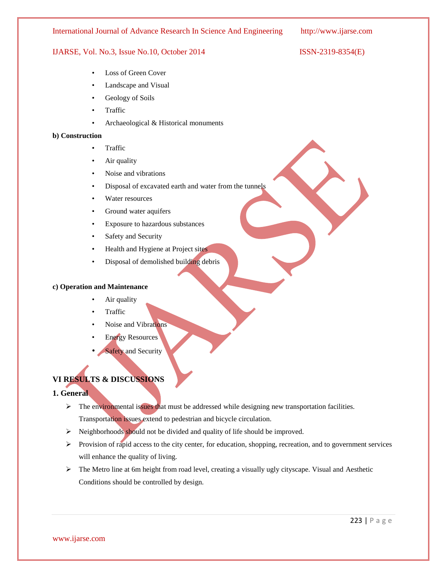# IJARSE, Vol. No.3, Issue No.10, October 2014 ISSN-2319-8354(E)

- Loss of Green Cover
- Landscape and Visual
- Geology of Soils
- Traffic
- Archaeological & Historical monuments

# **b) Construction**

- Traffic
- Air quality
- Noise and vibrations
- Disposal of excavated earth and water from the tunnels
- Water resources
- Ground water aquifers
- Exposure to hazardous substances
- Safety and Security
- Health and Hygiene at Project sites
- Disposal of demolished building debris

# **c) Operation and Maintenance**

- Air quality
- Traffic
- Noise and Vibrations
- **Energy Resources**
- **Safety and Security**

# **VI RESULTS & DISCUSSIONS**

# **1. General**

- $\triangleright$  The environmental issues that must be addressed while designing new transportation facilities. Transportation issues extend to pedestrian and bicycle circulation.
- $\triangleright$  Neighborhoods should not be divided and quality of life should be improved.
- $\triangleright$  Provision of rapid access to the city center, for education, shopping, recreation, and to government services will enhance the quality of living.
- The Metro line at 6m height from road level, creating a visually ugly cityscape. Visual and Aesthetic Conditions should be controlled by design.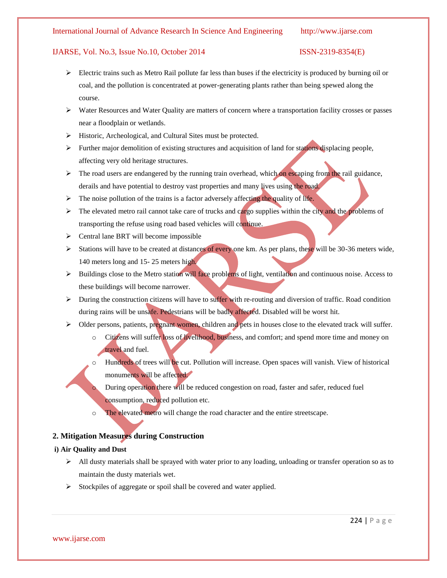# IJARSE, Vol. No.3, Issue No.10, October 2014 ISSN-2319-8354(E)

- $\triangleright$  Electric trains such as Metro Rail pollute far less than buses if the electricity is produced by burning oil or coal, and the pollution is concentrated at power-generating plants rather than being spewed along the course.
- $\triangleright$  Water Resources and Water Quality are matters of concern where a transportation facility crosses or passes near a floodplain or wetlands.
- $\triangleright$  Historic, Archeological, and Cultural Sites must be protected.
- $\triangleright$  Further major demolition of existing structures and acquisition of land for stations displacing people, affecting very old heritage structures.
- $\triangleright$  The road users are endangered by the running train overhead, which on escaping from the rail guidance, derails and have potential to destroy vast properties and many lives using the road.
- $\triangleright$  The noise pollution of the trains is a factor adversely affecting the quality of life.
- $\triangleright$  The elevated metro rail cannot take care of trucks and cargo supplies within the city and the problems of transporting the refuse using road based vehicles will continue.
- $\triangleright$  Central lane BRT will become impossible
- Stations will have to be created at distances of every one km. As per plans, these will be 30-36 meters wide, 140 meters long and 15- 25 meters high.
- $\triangleright$  Buildings close to the Metro station will face problems of light, ventilation and continuous noise. Access to these buildings will become narrower.
- $\triangleright$  During the construction citizens will have to suffer with re-routing and diversion of traffic. Road condition during rains will be unsafe. Pedestrians will be badly affected. Disabled will be worst hit.
- $\triangleright$  Older persons, patients, pregnant women, children and pets in houses close to the elevated track will suffer.
	- Citizens will suffer loss of livelihood, business, and comfort; and spend more time and money on travel and fuel.
	- o Hundreds of trees will be cut. Pollution will increase. Open spaces will vanish. View of historical monuments will be affected.
		- During operation there will be reduced congestion on road, faster and safer, reduced fuel consumption, reduced pollution etc.
	- o The elevated metro will change the road character and the entire streetscape.

# **2. Mitigation Measures during Construction**

# **i) Air Quality and Dust**

- $\triangleright$  All dusty materials shall be sprayed with water prior to any loading, unloading or transfer operation so as to maintain the dusty materials wet.
- $\triangleright$  Stockpiles of aggregate or spoil shall be covered and water applied.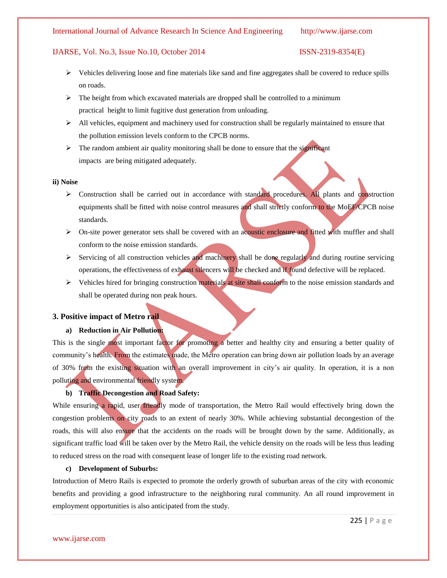# IJARSE, Vol. No.3, Issue No.10, October 2014 ISSN-2319-8354(E)

- $\triangleright$  Vehicles delivering loose and fine materials like sand and fine aggregates shall be covered to reduce spills on roads.
- $\triangleright$  The height from which excavated materials are dropped shall be controlled to a minimum practical height to limit fugitive dust generation from unloading.
- $\triangleright$  All vehicles, equipment and machinery used for construction shall be regularly maintained to ensure that the pollution emission levels conform to the CPCB norms.
- $\triangleright$  The random ambient air quality monitoring shall be done to ensure that the significant impacts are being mitigated adequately.

### **ii) Noise**

- > Construction shall be carried out in accordance with standard procedures. All plants and construction equipments shall be fitted with noise control measures and shall strictly conform to the MoEF/CPCB noise standards.
- $\triangleright$  On-site power generator sets shall be covered with an acoustic enclosure and fitted with muffler and shall conform to the noise emission standards.
- $\triangleright$  Servicing of all construction vehicles and machinery shall be done regularly and during routine servicing operations, the effectiveness of exhaust silencers will be checked and if found defective will be replaced.
- $\triangleright$  Vehicles hired for bringing construction materials at site shall conform to the noise emission standards and shall be operated during non peak hours.

# **3. Positive impact of Metro rail**

# **a) Reduction in Air Pollution:**

This is the single most important factor for promoting a better and healthy city and ensuring a better quality of community's health. From the estimates made, the Metro operation can bring down air pollution loads by an average of 30% from the existing situation with an overall improvement in city's air quality. In operation, it is a non polluting and environmental friendly system.

# **b) Traffic Decongestion and Road Safety:**

While ensuring a rapid, user friendly mode of transportation, the Metro Rail would effectively bring down the congestion problems on city roads to an extent of nearly 30%. While achieving substantial decongestion of the roads, this will also ensure that the accidents on the roads will be brought down by the same. Additionally, as significant traffic load will be taken over by the Metro Rail, the vehicle density on the roads will be less thus leading to reduced stress on the road with consequent lease of longer life to the existing road network.

### **c) Development of Suburbs:**

Introduction of Metro Rails is expected to promote the orderly growth of suburban areas of the city with economic benefits and providing a good infrastructure to the neighboring rural community. An all round improvement in employment opportunities is also anticipated from the study.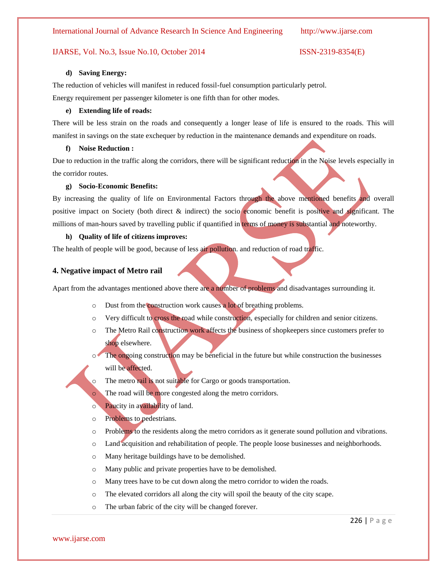### **d) Saving Energy:**

The reduction of vehicles will manifest in reduced fossil-fuel consumption particularly petrol. Energy requirement per passenger kilometer is one fifth than for other modes.

### **e) Extending life of roads:**

There will be less strain on the roads and consequently a longer lease of life is ensured to the roads. This will manifest in savings on the state exchequer by reduction in the maintenance demands and expenditure on roads.

# **f) Noise Reduction :**

Due to reduction in the traffic along the corridors, there will be significant reduction in the Noise levels especially in the corridor routes.

### **g) Socio-Economic Benefits:**

By increasing the quality of life on Environmental Factors through the above mentioned benefits and overall positive impact on Society (both direct & indirect) the socio economic benefit is positive and significant. The millions of man-hours saved by travelling public if quantified in terms of money is substantial and noteworthy.

### **h) Quality of life of citizens improves:**

The health of people will be good, because of less air pollution. and reduction of road traffic.

### **4. Negative impact of Metro rail**

Apart from the advantages mentioned above there are a number of problems and disadvantages surrounding it.

- o Dust from the construction work causes a lot of breathing problems.
- $\circ$  Very difficult to cross the road while construction, especially for children and senior citizens.
- $\circ$  The Metro Rail construction work affects the business of shopkeepers since customers prefer to shop elsewhere.
- o The ongoing construction may be beneficial in the future but while construction the businesses will be affected.
- The metro rail is not suitable for Cargo or goods transportation.
	- The road will be more congested along the metro corridors.
- o Paucity in availability of land.
- o Problems to pedestrians.
- o Problems to the residents along the metro corridors as it generate sound pollution and vibrations.
- o Land acquisition and rehabilitation of people. The people loose businesses and neighborhoods.
- o Many heritage buildings have to be demolished.
- o Many public and private properties have to be demolished.
- o Many trees have to be cut down along the metro corridor to widen the roads.
- o The elevated corridors all along the city will spoil the beauty of the city scape.
- o The urban fabric of the city will be changed forever.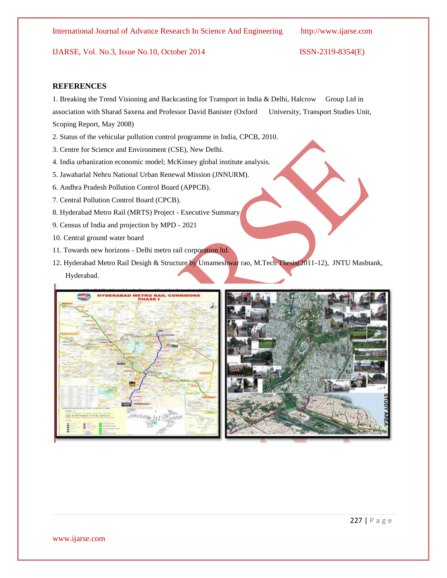# **REFERENCES**

1. Breaking the Trend Visioning and Backcasting for Transport in India & Delhi, Halcrow Group Ltd in association with Sharad Saxena and Professor David Banister (Oxford University, Transport Studies Unit, Scoping Report, May 2008)

- 2. Status of the vehicular pollution control programme in India, CPCB, 2010.
- 3. Centre for Science and Environment (CSE), New Delhi.
- 4. India urbanization economic model; McKinsey global institute analysis.
- 5. Jawaharlal Nehru National Urban Renewal Mission (JNNURM).
- 6. Andhra Pradesh Pollution Control Board (APPCB).
- 7. Central Pollution Control Board (CPCB).
- 8. Hyderabad Metro Rail (MRTS) Project Executive Summary
- 9. Census of India and projection by MPD 2021
- 10. Central ground water board
- 11. Towards new horizons Delhi metro rail corporation ltd.
- 12. Hyderabad Metro Rail Desigh & Structure by Umameshwar rao, M.Tech Thesis(2011-12), JNTU Masbtank, Hyderabad.